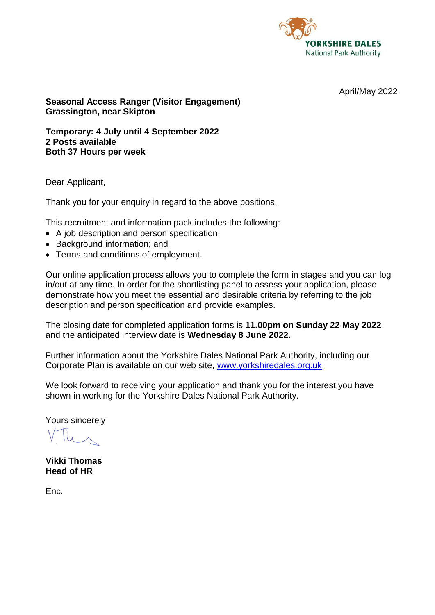

April/May 2022

**Seasonal Access Ranger (Visitor Engagement) Grassington, near Skipton**

**Temporary: 4 July until 4 September 2022 2 Posts available Both 37 Hours per week**

Dear Applicant,

Thank you for your enquiry in regard to the above positions.

This recruitment and information pack includes the following:

- A job description and person specification;
- Background information; and
- Terms and conditions of employment.

Our online application process allows you to complete the form in stages and you can log in/out at any time. In order for the shortlisting panel to assess your application, please demonstrate how you meet the essential and desirable criteria by referring to the job description and person specification and provide examples.

The closing date for completed application forms is **11.00pm on Sunday 22 May 2022** and the anticipated interview date is **Wednesday 8 June 2022.**

Further information about the Yorkshire Dales National Park Authority, including our Corporate Plan is available on our web site, [www.yorkshiredales.org.uk.](http://www.yorkshiredales.org.uk/)

We look forward to receiving your application and thank you for the interest you have shown in working for the Yorkshire Dales National Park Authority.

Yours sincerely

**Vikki Thomas Head of HR**

Enc.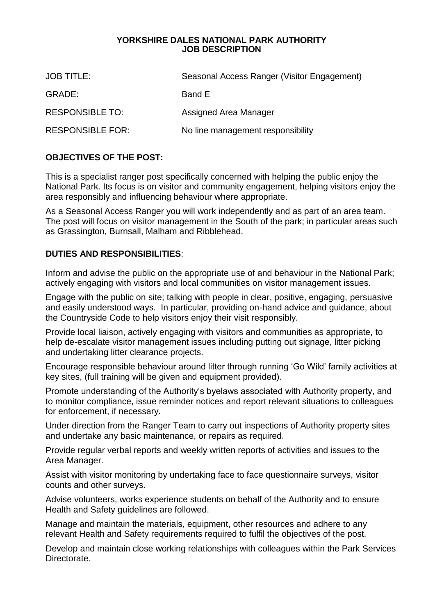#### **YORKSHIRE DALES NATIONAL PARK AUTHORITY JOB DESCRIPTION**

| <b>JOB TITLE:</b>       | Seasonal Access Ranger (Visitor Engagement) |
|-------------------------|---------------------------------------------|
| GRADE:                  | Band E                                      |
| <b>RESPONSIBLE TO:</b>  | Assigned Area Manager                       |
| <b>RESPONSIBLE FOR:</b> | No line management responsibility           |

# **OBJECTIVES OF THE POST:**

This is a specialist ranger post specifically concerned with helping the public enjoy the National Park. Its focus is on visitor and community engagement, helping visitors enjoy the area responsibly and influencing behaviour where appropriate.

As a Seasonal Access Ranger you will work independently and as part of an area team. The post will focus on visitor management in the South of the park; in particular areas such as Grassington, Burnsall, Malham and Ribblehead.

# **DUTIES AND RESPONSIBILITIES**:

Inform and advise the public on the appropriate use of and behaviour in the National Park; actively engaging with visitors and local communities on visitor management issues.

Engage with the public on site; talking with people in clear, positive, engaging, persuasive and easily understood ways. In particular, providing on-hand advice and guidance, about the Countryside Code to help visitors enjoy their visit responsibly.

Provide local liaison, actively engaging with visitors and communities as appropriate, to help de-escalate visitor management issues including putting out signage, litter picking and undertaking litter clearance projects.

Encourage responsible behaviour around litter through running 'Go Wild' family activities at key sites, (full training will be given and equipment provided).

Promote understanding of the Authority's byelaws associated with Authority property, and to monitor compliance, issue reminder notices and report relevant situations to colleagues for enforcement, if necessary.

Under direction from the Ranger Team to carry out inspections of Authority property sites and undertake any basic maintenance, or repairs as required.

Provide regular verbal reports and weekly written reports of activities and issues to the Area Manager.

Assist with visitor monitoring by undertaking face to face questionnaire surveys, visitor counts and other surveys.

Advise volunteers, works experience students on behalf of the Authority and to ensure Health and Safety guidelines are followed.

Manage and maintain the materials, equipment, other resources and adhere to any relevant Health and Safety requirements required to fulfil the objectives of the post.

Develop and maintain close working relationships with colleagues within the Park Services Directorate.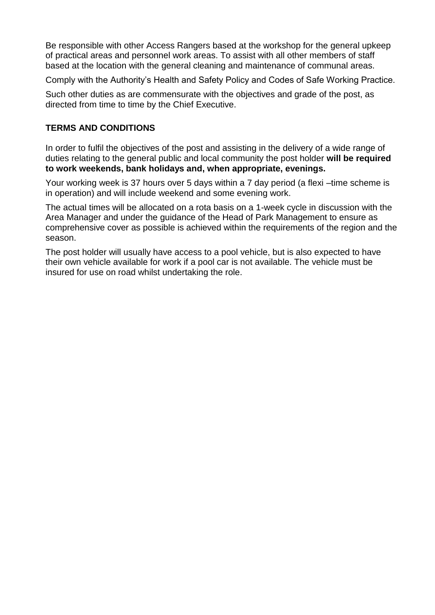Be responsible with other Access Rangers based at the workshop for the general upkeep of practical areas and personnel work areas. To assist with all other members of staff based at the location with the general cleaning and maintenance of communal areas.

Comply with the Authority's Health and Safety Policy and Codes of Safe Working Practice.

Such other duties as are commensurate with the objectives and grade of the post, as directed from time to time by the Chief Executive.

## **TERMS AND CONDITIONS**

In order to fulfil the objectives of the post and assisting in the delivery of a wide range of duties relating to the general public and local community the post holder **will be required to work weekends, bank holidays and, when appropriate, evenings.**

Your working week is 37 hours over 5 days within a 7 day period (a flexi –time scheme is in operation) and will include weekend and some evening work.

The actual times will be allocated on a rota basis on a 1-week cycle in discussion with the Area Manager and under the guidance of the Head of Park Management to ensure as comprehensive cover as possible is achieved within the requirements of the region and the season.

The post holder will usually have access to a pool vehicle, but is also expected to have their own vehicle available for work if a pool car is not available. The vehicle must be insured for use on road whilst undertaking the role.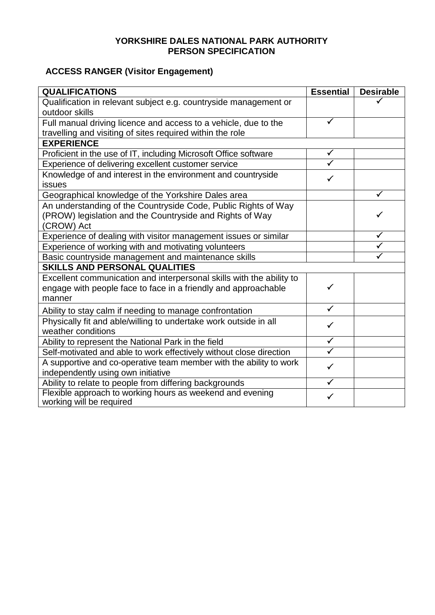## **YORKSHIRE DALES NATIONAL PARK AUTHORITY PERSON SPECIFICATION**

# **ACCESS RANGER (Visitor Engagement)**

| <b>QUALIFICATIONS</b>                                                | <b>Essential</b>        | <b>Desirable</b> |  |
|----------------------------------------------------------------------|-------------------------|------------------|--|
| Qualification in relevant subject e.g. countryside management or     |                         |                  |  |
| outdoor skills                                                       |                         |                  |  |
| Full manual driving licence and access to a vehicle, due to the      | ✓                       |                  |  |
| travelling and visiting of sites required within the role            |                         |                  |  |
| <b>EXPERIENCE</b>                                                    |                         |                  |  |
| Proficient in the use of IT, including Microsoft Office software     |                         |                  |  |
| Experience of delivering excellent customer service                  |                         |                  |  |
| Knowledge of and interest in the environment and countryside         | $\checkmark$            |                  |  |
| <b>issues</b>                                                        |                         |                  |  |
| Geographical knowledge of the Yorkshire Dales area                   |                         | ✓                |  |
| An understanding of the Countryside Code, Public Rights of Way       |                         |                  |  |
| (PROW) legislation and the Countryside and Rights of Way             |                         |                  |  |
| (CROW) Act                                                           |                         |                  |  |
| Experience of dealing with visitor management issues or similar      |                         | $\checkmark$     |  |
| Experience of working with and motivating volunteers                 |                         | $\checkmark$     |  |
| Basic countryside management and maintenance skills                  |                         |                  |  |
| <b>SKILLS AND PERSONAL QUALITIES</b>                                 |                         |                  |  |
| Excellent communication and interpersonal skills with the ability to |                         |                  |  |
| engage with people face to face in a friendly and approachable       | ✓                       |                  |  |
| manner                                                               |                         |                  |  |
| Ability to stay calm if needing to manage confrontation              | $\checkmark$            |                  |  |
| Physically fit and able/willing to undertake work outside in all     | $\checkmark$            |                  |  |
| weather conditions                                                   |                         |                  |  |
| Ability to represent the National Park in the field                  | $\checkmark$            |                  |  |
| Self-motivated and able to work effectively without close direction  | $\overline{\checkmark}$ |                  |  |
| A supportive and co-operative team member with the ability to work   | $\checkmark$            |                  |  |
| independently using own initiative                                   |                         |                  |  |
| Ability to relate to people from differing backgrounds               | ✓                       |                  |  |
| Flexible approach to working hours as weekend and evening            | ✓                       |                  |  |
| working will be required                                             |                         |                  |  |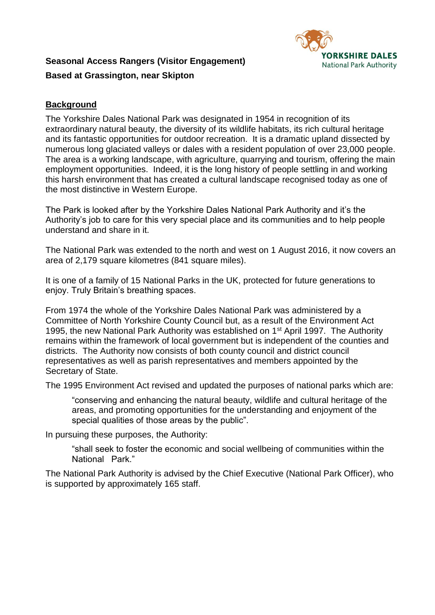

# **Seasonal Access Rangers (Visitor Engagement) Based at Grassington, near Skipton**

# **Background**

The Yorkshire Dales National Park was designated in 1954 in recognition of its extraordinary natural beauty, the diversity of its wildlife habitats, its rich cultural heritage and its fantastic opportunities for outdoor recreation. It is a dramatic upland dissected by numerous long glaciated valleys or dales with a resident population of over 23,000 people. The area is a working landscape, with agriculture, quarrying and tourism, offering the main employment opportunities. Indeed, it is the long history of people settling in and working this harsh environment that has created a cultural landscape recognised today as one of the most distinctive in Western Europe.

The Park is looked after by the Yorkshire Dales National Park Authority and it's the Authority's job to care for this very special place and its communities and to help people understand and share in it.

The National Park was extended to the north and west on 1 August 2016, it now covers an area of 2,179 square kilometres (841 square miles).

It is one of a family of 15 National Parks in the UK, protected for future generations to enjoy. Truly Britain's breathing spaces.

From 1974 the whole of the Yorkshire Dales National Park was administered by a Committee of North Yorkshire County Council but, as a result of the Environment Act 1995, the new National Park Authority was established on 1<sup>st</sup> April 1997. The Authority remains within the framework of local government but is independent of the counties and districts. The Authority now consists of both county council and district council representatives as well as parish representatives and members appointed by the Secretary of State.

The 1995 Environment Act revised and updated the purposes of national parks which are:

"conserving and enhancing the natural beauty, wildlife and cultural heritage of the areas, and promoting opportunities for the understanding and enjoyment of the special qualities of those areas by the public".

In pursuing these purposes, the Authority:

"shall seek to foster the economic and social wellbeing of communities within the National Park."

The National Park Authority is advised by the Chief Executive (National Park Officer), who is supported by approximately 165 staff.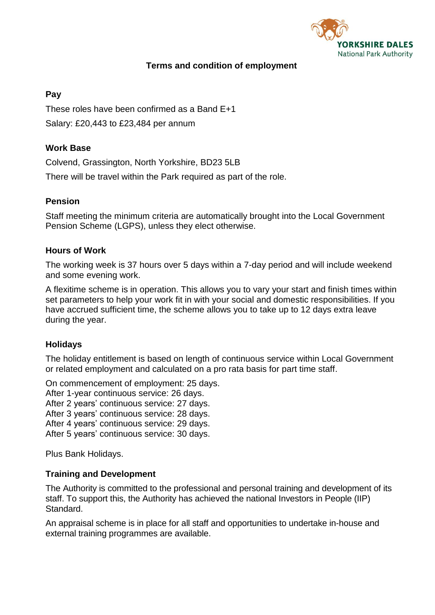

# **Terms and condition of employment**

## **Pay**

These roles have been confirmed as a Band E+1 Salary: £20,443 to £23,484 per annum

## **Work Base**

Colvend, Grassington, North Yorkshire, BD23 5LB

There will be travel within the Park required as part of the role.

## **Pension**

Staff meeting the minimum criteria are automatically brought into the Local Government Pension Scheme (LGPS), unless they elect otherwise.

## **Hours of Work**

The working week is 37 hours over 5 days within a 7-day period and will include weekend and some evening work.

A flexitime scheme is in operation. This allows you to vary your start and finish times within set parameters to help your work fit in with your social and domestic responsibilities. If you have accrued sufficient time, the scheme allows you to take up to 12 days extra leave during the year.

## **Holidays**

The holiday entitlement is based on length of continuous service within Local Government or related employment and calculated on a pro rata basis for part time staff.

On commencement of employment: 25 days.

After 1-year continuous service: 26 days.

After 2 years' continuous service: 27 days.

After 3 years' continuous service: 28 days.

After 4 years' continuous service: 29 days.

After 5 years' continuous service: 30 days.

Plus Bank Holidays.

## **Training and Development**

The Authority is committed to the professional and personal training and development of its staff. To support this, the Authority has achieved the national Investors in People (IIP) Standard.

An appraisal scheme is in place for all staff and opportunities to undertake in-house and external training programmes are available.